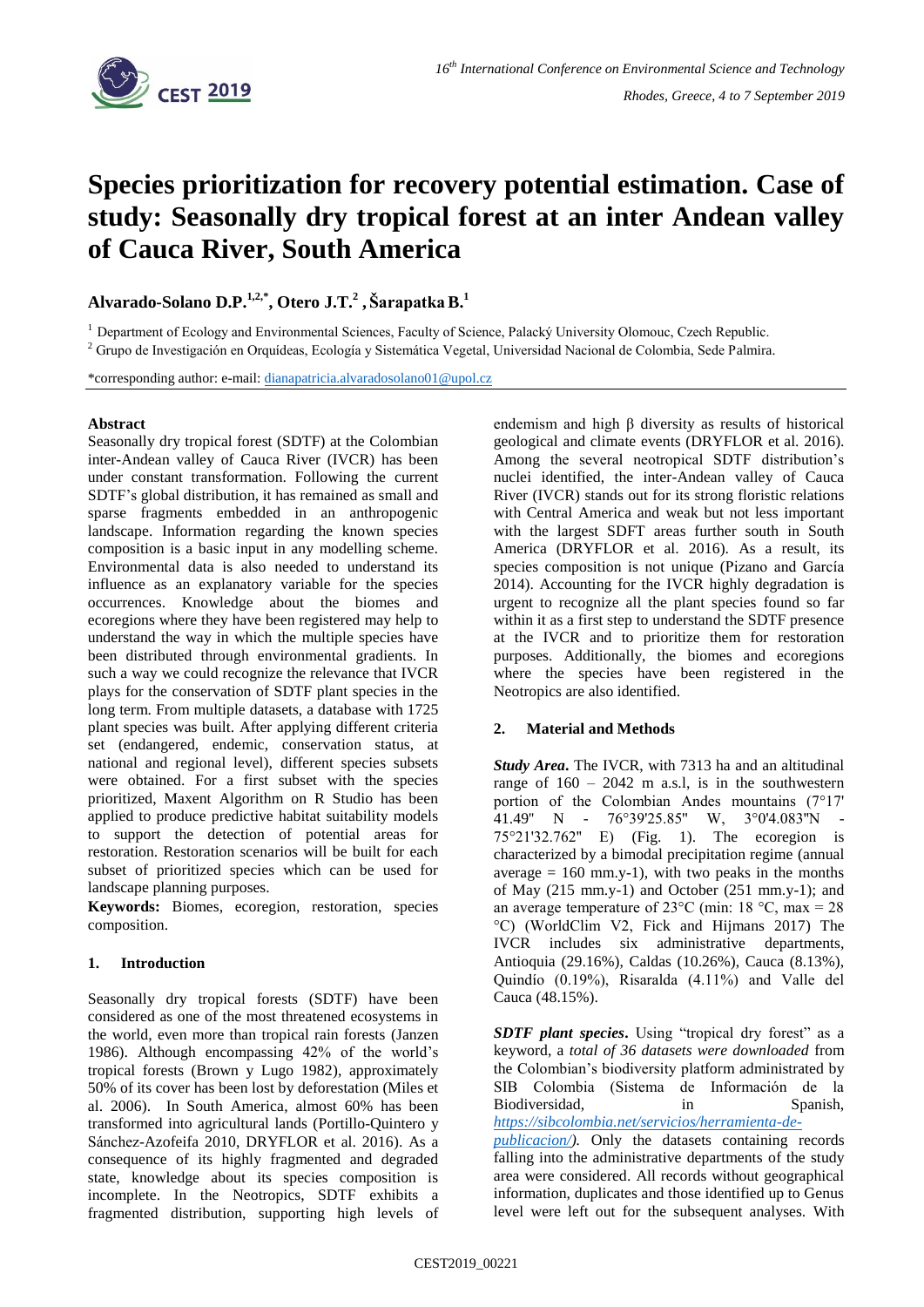

# **Species prioritization for recovery potential estimation. Case of study: Seasonally dry tropical forest at an inter Andean valley of Cauca River, South America**

**Alvarado-Solano D.P.1,2,\* , Otero J.T.<sup>2</sup> , ŠarapatkaB.<sup>1</sup>**

<sup>1</sup> Department of Ecology and Environmental Sciences, Faculty of Science, Palacký University Olomouc, Czech Republic.

<sup>2</sup> Grupo de Investigación en Orquídeas, Ecología y Sistemática Vegetal, Universidad Nacional de Colombia, Sede Palmira.

\*corresponding author: e-mail: [dianapatricia.alvaradosolano01@upol.cz](mailto:dianapatricia.alvaradosolano01@upol.cz)

## **Abstract**

Seasonally dry tropical forest (SDTF) at the Colombian inter-Andean valley of Cauca River (IVCR) has been under constant transformation. Following the current SDTF's global distribution, it has remained as small and sparse fragments embedded in an anthropogenic landscape. Information regarding the known species composition is a basic input in any modelling scheme. Environmental data is also needed to understand its influence as an explanatory variable for the species occurrences. Knowledge about the biomes and ecoregions where they have been registered may help to understand the way in which the multiple species have been distributed through environmental gradients. In such a way we could recognize the relevance that IVCR plays for the conservation of SDTF plant species in the long term. From multiple datasets, a database with 1725 plant species was built. After applying different criteria set (endangered, endemic, conservation status, at national and regional level), different species subsets were obtained. For a first subset with the species prioritized, Maxent Algorithm on R Studio has been applied to produce predictive habitat suitability models to support the detection of potential areas for restoration. Restoration scenarios will be built for each subset of prioritized species which can be used for landscape planning purposes.

**Keywords:** Biomes, ecoregion, restoration, species composition.

## **1. Introduction**

Seasonally dry tropical forests (SDTF) have been considered as one of the most threatened ecosystems in the world, even more than tropical rain forests (Janzen 1986). Although encompassing 42% of the world's tropical forests (Brown y Lugo 1982), approximately 50% of its cover has been lost by deforestation (Miles et al. 2006). In South America, almost 60% has been transformed into agricultural lands (Portillo-Quintero y Sánchez-Azofeifa 2010, DRYFLOR et al. 2016). As a consequence of its highly fragmented and degraded state, knowledge about its species composition is incomplete. In the Neotropics, SDTF exhibits a fragmented distribution, supporting high levels of

endemism and high β diversity as results of historical geological and climate events (DRYFLOR et al. 2016). Among the several neotropical SDTF distribution's nuclei identified, the inter-Andean valley of Cauca River (IVCR) stands out for its strong floristic relations with Central America and weak but not less important with the largest SDFT areas further south in South America (DRYFLOR et al. 2016). As a result, its species composition is not unique (Pizano and García 2014). Accounting for the IVCR highly degradation is urgent to recognize all the plant species found so far within it as a first step to understand the SDTF presence at the IVCR and to prioritize them for restoration purposes. Additionally, the biomes and ecoregions where the species have been registered in the Neotropics are also identified.

## **2. Material and Methods**

*Study Area***.** The IVCR, with 7313 ha and an altitudinal range of  $160 - 2042$  m a.s.l, is in the southwestern portion of the Colombian Andes mountains (7°17' 41.49'' N - 76°39'25.85'' W, 3°0'4.083''N - 75°21'32.762'' E) (Fig. 1). The ecoregion is characterized by a bimodal precipitation regime (annual average  $= 160$  mm.y-1), with two peaks in the months of May (215 mm.y-1) and October (251 mm.y-1); and an average temperature of 23 $^{\circ}$ C (min: 18 $^{\circ}$ C, max = 28 °C) (WorldClim V2, Fick and Hijmans 2017) The IVCR includes six administrative departments, Antioquia (29.16%), Caldas (10.26%), Cauca (8.13%), Quindío (0.19%), Risaralda (4.11%) and Valle del Cauca (48.15%).

*SDTF plant species***.** Using "tropical dry forest" as a keyword, a *total of 36 datasets were downloaded* from the Colombian's biodiversity platform administrated by SIB Colombia (Sistema de Información de la Biodiversidad, in Spanish, *[https://sibcolombia.net/servicios/herramienta-de-](https://sibcolombia.net/servicios/herramienta-de-publicacion/)*

*[publicacion/\)](https://sibcolombia.net/servicios/herramienta-de-publicacion/).* Only the datasets containing records falling into the administrative departments of the study area were considered. All records without geographical information, duplicates and those identified up to Genus level were left out for the subsequent analyses. With